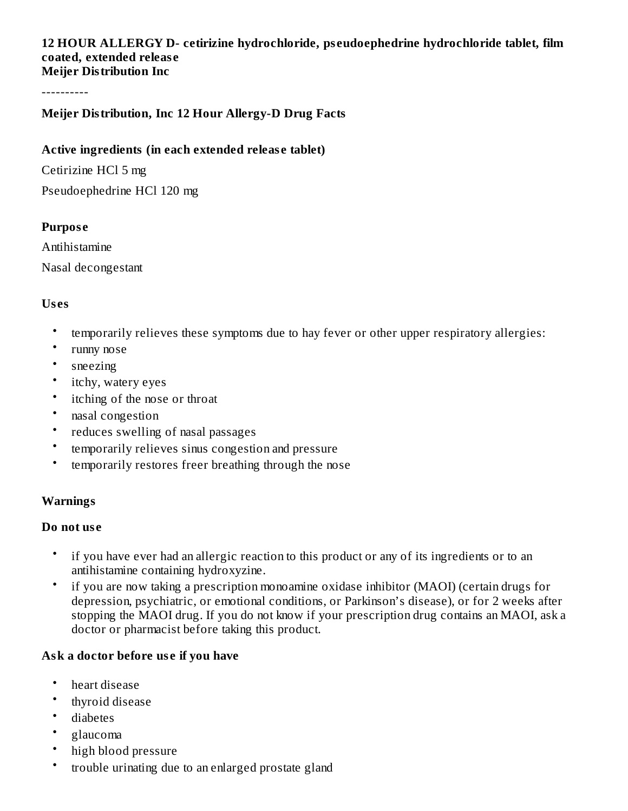#### **12 HOUR ALLERGY D- cetirizine hydrochloride, ps eudoephedrine hydrochloride tablet, film coated, extended releas e Meijer Distribution Inc**

----------

## **Meijer Distribution, Inc 12 Hour Allergy-D Drug Facts**

### **Active ingredients (in each extended releas e tablet)**

Cetirizine HCl 5 mg

Pseudoephedrine HCl 120 mg

#### **Purpos e**

Antihistamine Nasal decongestant

## **Us es**

- temporarily relieves these symptoms due to hay fever or other upper respiratory allergies:
- runny nose
- sneezing
- itchy, watery eyes
- itching of the nose or throat
- nasal congestion
- reduces swelling of nasal passages
- temporarily relieves sinus congestion and pressure
- temporarily restores freer breathing through the nose

## **Warnings**

#### **Do not us e**

- if you have ever had an allergic reaction to this product or any of its ingredients or to an antihistamine containing hydroxyzine.
- if you are now taking a prescription monoamine oxidase inhibitor (MAOI) (certain drugs for depression, psychiatric, or emotional conditions, or Parkinson's disease), or for 2 weeks after stopping the MAOI drug. If you do not know if your prescription drug contains an MAOI, ask a doctor or pharmacist before taking this product.

## **Ask a doctor before us e if you have**

- heart disease
- thyroid disease
- diabetes
- glaucoma
- high blood pressure
- trouble urinating due to an enlarged prostate gland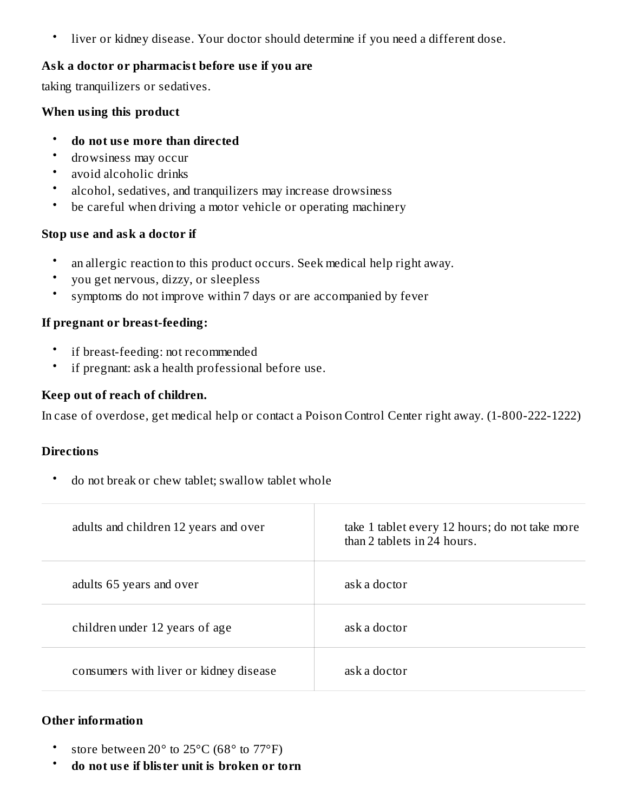• liver or kidney disease. Your doctor should determine if you need a different dose.

#### **Ask a doctor or pharmacist before us e if you are**

taking tranquilizers or sedatives.

#### **When using this product**

- **do not us e more than directed**
- drowsiness may occur
- avoid alcoholic drinks
- alcohol, sedatives, and tranquilizers may increase drowsiness
- be careful when driving a motor vehicle or operating machinery

#### **Stop us e and ask a doctor if**

- an allergic reaction to this product occurs. Seek medical help right away.
- you get nervous, dizzy, or sleepless
- symptoms do not improve within 7 days or are accompanied by fever

#### **If pregnant or breast-feeding:**

- if breast-feeding: not recommended
- if pregnant: ask a health professional before use.

#### **Keep out of reach of children.**

In case of overdose, get medical help or contact a Poison Control Center right away. (1-800-222-1222)

#### **Directions**

• do not break or chew tablet; swallow tablet whole

| adults and children 12 years and over  | take 1 tablet every 12 hours; do not take more<br>than 2 tablets in 24 hours. |
|----------------------------------------|-------------------------------------------------------------------------------|
| adults 65 years and over               | ask a doctor                                                                  |
| children under 12 years of age         | ask a doctor                                                                  |
| consumers with liver or kidney disease | ask a doctor                                                                  |

## **Other information**

- store between 20° to 25°C (68° to 77°F)
- **do not us e if blister unit is broken or torn**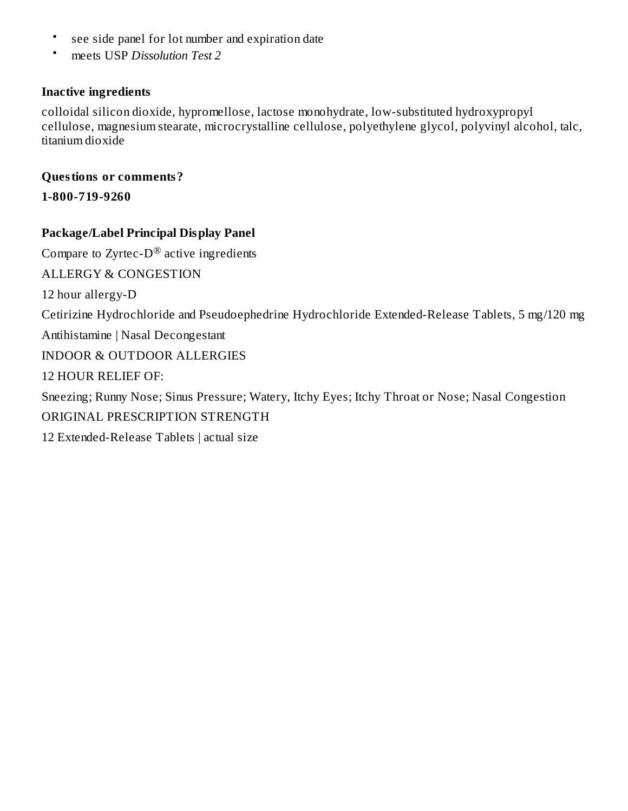- see side panel for lot number and expiration date
- meets USP *Dissolution Test 2*

### **Inactive ingredients**

colloidal silicon dioxide, hypromellose, lactose monohydrate, low-substituted hydroxypropyl cellulose, magnesium stearate, microcrystalline cellulose, polyethylene glycol, polyvinyl alcohol, talc, titanium dioxide

### **Questions or comments?**

**1-800-719-9260**

## **Package/Label Principal Display Panel**

Compare to Zyrtec-D $^{\circledR}$  active ingredients ALLERGY & CONGESTION 12 hour allergy-D Cetirizine Hydrochloride and Pseudoephedrine Hydrochloride Extended-Release Tablets, 5 mg/120 mg Antihistamine | Nasal Decongestant INDOOR & OUTDOOR ALLERGIES 12 HOUR RELIEF OF: Sneezing; Runny Nose; Sinus Pressure; Watery, Itchy Eyes; Itchy Throat or Nose; Nasal Congestion ORIGINAL PRESCRIPTION STRENGTH 12 Extended-Release Tablets | actual size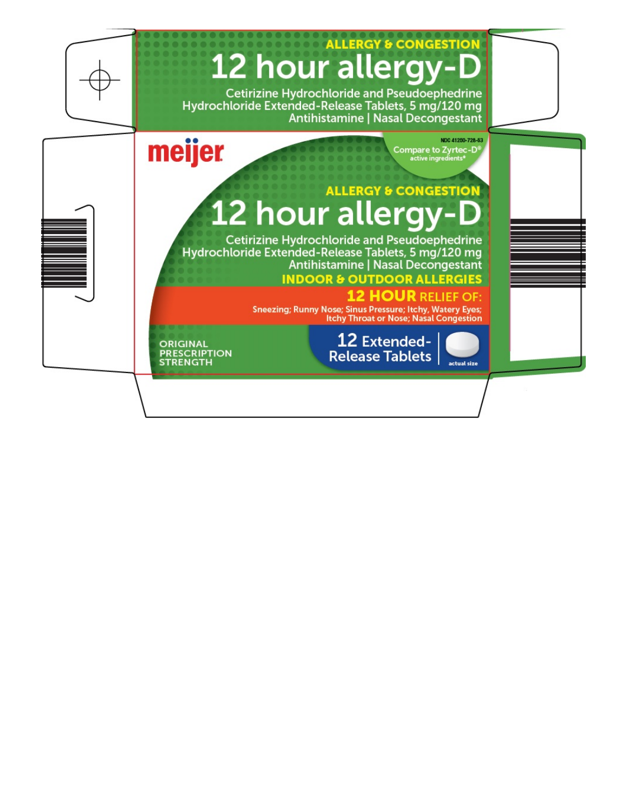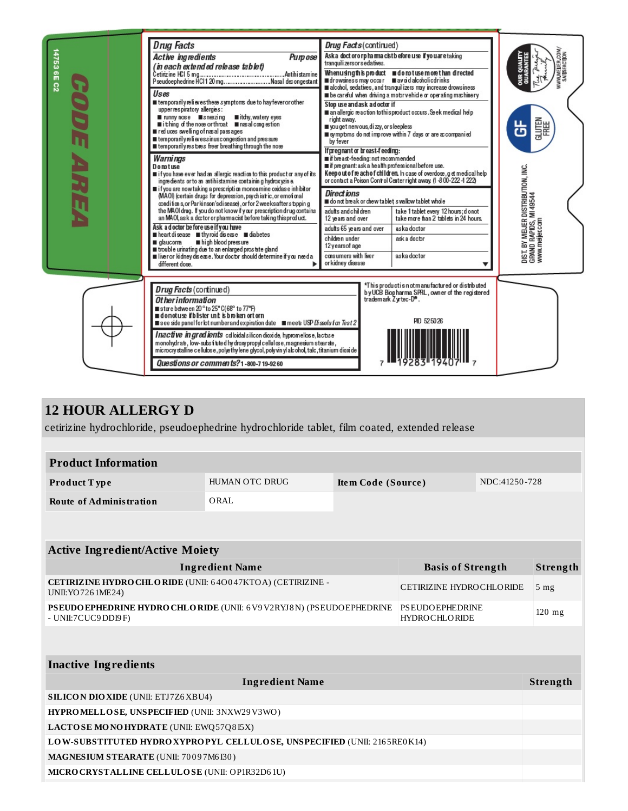

| <b>12 HOUR ALLERGY D</b> |
|--------------------------|
|--------------------------|

cetirizine hydrochloride, pseudoephedrine hydrochloride tablet, film coated, extended release

| <b>HUMAN OTC DRUG</b>                                                                                                                            | Item Code (Source) |  | NDC:41250-728 |                                                                         |  |  |  |  |  |
|--------------------------------------------------------------------------------------------------------------------------------------------------|--------------------|--|---------------|-------------------------------------------------------------------------|--|--|--|--|--|
| ORAL                                                                                                                                             |                    |  |               |                                                                         |  |  |  |  |  |
|                                                                                                                                                  |                    |  |               |                                                                         |  |  |  |  |  |
| <b>Active Ingredient/Active Moiety</b>                                                                                                           |                    |  |               |                                                                         |  |  |  |  |  |
| <b>Ingredient Name</b>                                                                                                                           |                    |  |               |                                                                         |  |  |  |  |  |
| <b>CETIRIZINE HYDRO CHLORIDE (UNII: 640047KTOA) (CETIRIZINE -</b><br>UNII: YO 726 1ME24)                                                         |                    |  |               | 5 <sub>mg</sub>                                                         |  |  |  |  |  |
| <b>PSEUDO EPHEDRINE HYDRO CHLO RIDE (UNII: 6 V9 V2RYJ8 N) (PSEUDO EPHEDRINE</b><br><b>PSEUDOEPHEDRINE</b><br>- UNII:7CUC9DDI9F)<br>HYDROCHLORIDE |                    |  |               | $120$ mg                                                                |  |  |  |  |  |
|                                                                                                                                                  |                    |  |               |                                                                         |  |  |  |  |  |
|                                                                                                                                                  |                    |  |               |                                                                         |  |  |  |  |  |
| <b>Ingredient Name</b>                                                                                                                           |                    |  |               |                                                                         |  |  |  |  |  |
| <b>SILICON DIO XIDE (UNII: ETJ7Z6 XBU4)</b>                                                                                                      |                    |  |               |                                                                         |  |  |  |  |  |
| HYPROMELLOSE, UNSPECIFIED (UNII: 3NXW29V3WO)                                                                                                     |                    |  |               |                                                                         |  |  |  |  |  |
| LACTOSE MONOHYDRATE (UNII: EWQ57Q8I5X)                                                                                                           |                    |  |               |                                                                         |  |  |  |  |  |
| LOW-SUBSTITUTED HYDRO XYPROPYL CELLULOSE, UNSPECIFIED (UNII: 2165RE0K14)                                                                         |                    |  |               |                                                                         |  |  |  |  |  |
| MAGNESIUM STEARATE (UNII: 70097M6I30)                                                                                                            |                    |  |               |                                                                         |  |  |  |  |  |
| MICRO CRYSTALLINE CELLULO SE (UNII: OP1R32D61U)                                                                                                  |                    |  |               |                                                                         |  |  |  |  |  |
|                                                                                                                                                  |                    |  |               | <b>Basis of Strength</b><br><b>CETIRIZINE HYDROCHLORIDE</b><br>Strength |  |  |  |  |  |